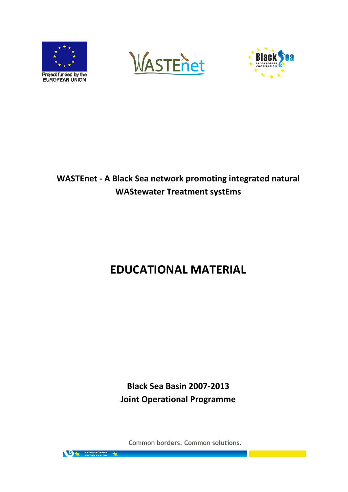





# WASTEnet - A Black Sea network promoting integrated natural WAStewater Treatment systEms

# EDUCATIONAL MATERIAL

Joint Operational Programme Black Sea Basin 2007-2013

Common borders. Common solutions.

**ON CROSSBORDER**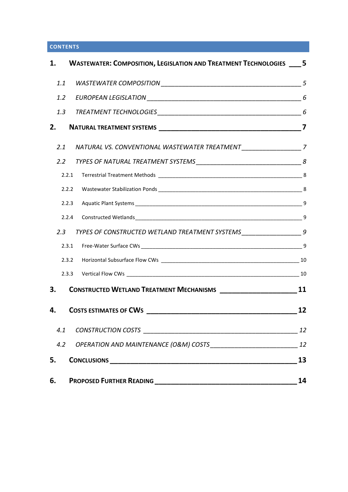# **CONTENTS**

|     | 1. WASTEWATER: COMPOSITION, LEGISLATION AND TREATMENT TECHNOLOGIES __ 5      |    |
|-----|------------------------------------------------------------------------------|----|
|     |                                                                              |    |
|     |                                                                              |    |
|     |                                                                              |    |
| 2.  |                                                                              |    |
|     | 2.1 NATURAL VS. CONVENTIONAL WASTEWATER TREATMENT _________________________7 |    |
|     |                                                                              |    |
|     | 2.2.1                                                                        |    |
|     | 2.2.2                                                                        |    |
|     | 2.2.3                                                                        |    |
|     | 2.2.4                                                                        |    |
| 2.3 | TYPES OF CONSTRUCTED WETLAND TREATMENT SYSTEMS_________________________9     |    |
|     | 2.3.1                                                                        |    |
|     | 2.3.2                                                                        |    |
|     |                                                                              |    |
| 3.  | CONSTRUCTED WETLAND TREATMENT MECHANISMS ____________________________11      |    |
| 4.  |                                                                              | 12 |
| 4.1 |                                                                              | 12 |
| 4.2 |                                                                              |    |
| 5.  | CONCLUSIONS <b>CONCLUSIONS</b>                                               | 13 |
| 6.  | <b>PROPOSED FURTHER READING</b>                                              | 14 |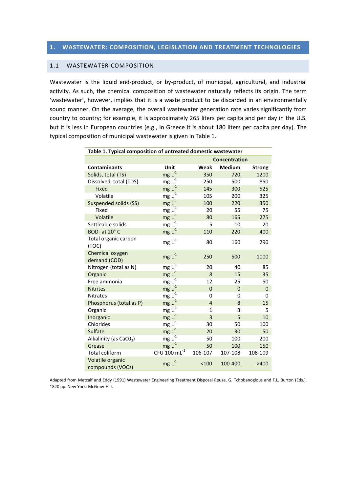### 1.1 WASTEWATER COMPOSITION

Wastewater is the liquid end-product, or by-product, of municipal, agricultural, and industrial activity. As such, the chemical composition of wastewater naturally reflects its origin. The term 'wastewater', however, implies that it is a waste product to be discarded in an environmentally sound manner. On the average, the overall wastewater generation rate varies significantly from country to country; for example, it is approximately 265 liters per capita and per day in the U.S. but it is less in European countries (e.g., in Greece it is about 180 liters per capita per day). The typical composition of municipal wastewater is given in Table 1.

| Table 1. Typical composition of untreated domestic wastewater |                   |                |               |               |  |
|---------------------------------------------------------------|-------------------|----------------|---------------|---------------|--|
|                                                               |                   | Concentration  |               |               |  |
| <b>Contaminants</b>                                           | <b>Unit</b>       | Weak           | <b>Medium</b> | <b>Strong</b> |  |
| Solids, total (TS)                                            | $mg L-1$          | 350            | 720           | 1200          |  |
| Dissolved, total (TDS)                                        | $mg L^{-1}$       | 250            | 500           | 850           |  |
| Fixed                                                         | $mg L-1$          | 145            | 300           | 525           |  |
| Volatile                                                      | $mgL^{-1}$        | 105            | 200           | 325           |  |
| <b>Suspended solids (SS)</b>                                  | $mg L-1$          | 100            | 220           | 350           |  |
| Fixed                                                         | $mgL^{-1}$        | 20             | 55            | 75            |  |
| Volatile                                                      | $mg L-1$          | 80             | 165           | 275           |  |
| Settleable solids                                             | $mgL^{-1}$        | 5              | 10            | 20            |  |
| $BOD5$ at 20 $^{\circ}$ C                                     | $mg L-1$          | 110            | 220           | 400           |  |
| Total organic carbon<br>(TOC)                                 | $mg L^{-1}$       | 80             | 160           | 290           |  |
| Chemical oxygen<br>demand (COD)                               | $mg L-1$          | 250            | 500           | 1000          |  |
| Nitrogen (total as N)                                         | $mg L-1$          | 20             | 40            | 85            |  |
| Organic                                                       | $mg L-1$          | 8              | 15            | 35            |  |
| Free ammonia                                                  | $mg L^{-1}$       | 12             | 25            | 50            |  |
| <b>Nitrites</b>                                               | $mg L-1$          | $\overline{0}$ | $\mathbf{0}$  | $\mathbf{0}$  |  |
| <b>Nitrates</b>                                               | $mgL^{-1}$        | 0              | 0             | 0             |  |
| Phosphorus (total as P)                                       | $mg L-1$          | $\overline{4}$ | 8             | 15            |  |
| Organic                                                       | $mg L-1$          | $\mathbf{1}$   | 3             | 5             |  |
| Inorganic                                                     | $mg L-1$          | $\overline{3}$ | 5             | 10            |  |
| Chlorides                                                     | $mgL^{-1}$        | 30             | 50            | 100           |  |
| Sulfate                                                       | $mg L^{-1}$       | 20             | 30            | 50            |  |
| Alkalinity (as $CaCO3$ )                                      | $mgL^{-1}$        | 50             | 100           | 200           |  |
| Grease                                                        | $mg L-1$          | 50             | 100           | 150           |  |
| <b>Total coliform</b>                                         | CFU 100 $mL^{-1}$ | 106-107        | 107-108       | 108-109       |  |
| Volatile organic<br>compounds (VOCs)                          | $mg L-1$          | < 100          | 100-400       | >400          |  |

Adapted from Metcalf and Eddy (1991) Wastewater Engineering Treatment Disposal Reuse, G. Tchobanoglous and F.L. Burton (Eds.), 1820 pp. New York: McGraw-Hill.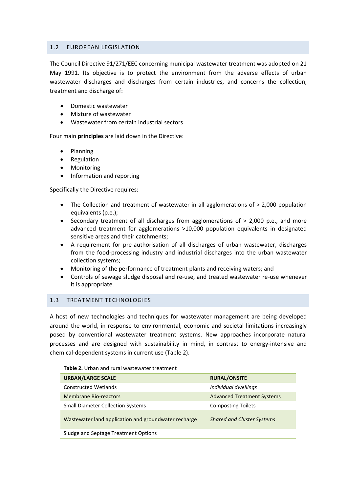# 1.2 EUROPEAN LEGISLATION

The Council Directive 91/271/EEC concerning municipal wastewater treatment was adopted on 21 May 1991. Its objective is to protect the environment from the adverse effects of urban wastewater discharges and discharges from certain industries, and concerns the collection, treatment and discharge of:

- Domestic wastewater
- Mixture of wastewater
- Wastewater from certain industrial sectors

Four main principles are laid down in the Directive:

- Planning
- **Regulation**
- Monitoring
- Information and reporting

Specifically the Directive requires:

- The Collection and treatment of wastewater in all agglomerations of  $> 2,000$  population equivalents (p.e.);
- Secondary treatment of all discharges from agglomerations of > 2,000 p.e., and more advanced treatment for agglomerations >10,000 population equivalents in designated sensitive areas and their catchments;
- A requirement for pre-authorisation of all discharges of urban wastewater, discharges from the food-processing industry and industrial discharges into the urban wastewater collection systems;
- Monitoring of the performance of treatment plants and receiving waters; and
- Controls of sewage sludge disposal and re-use, and treated wastewater re-use whenever it is appropriate.

# 1.3 TREATMENT TECHNOLOGIES

A host of new technologies and techniques for wastewater management are being developed around the world, in response to environmental, economic and societal limitations increasingly posed by conventional wastewater treatment systems. New approaches incorporate natural processes and are designed with sustainability in mind, in contrast to energy-intensive and chemical-dependent systems in current use (Table 2).

| <b>URBAN/LARGE SCALE</b>                             | <b>RURAL/ONSITE</b>               |
|------------------------------------------------------|-----------------------------------|
| <b>Constructed Wetlands</b>                          | Individual dwellings              |
| Membrane Bio-reactors                                | <b>Advanced Treatment Systems</b> |
| <b>Small Diameter Collection Systems</b>             | <b>Composting Toilets</b>         |
| Wastewater land application and groundwater recharge | <b>Shared and Cluster Systems</b> |
| Sludge and Septage Treatment Options                 |                                   |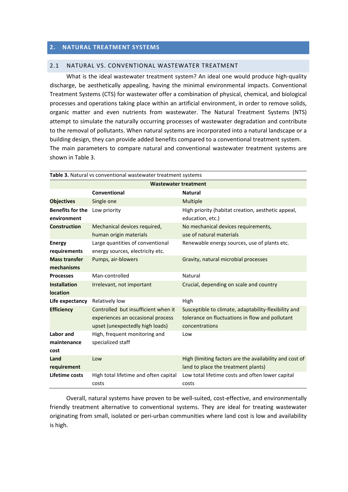# 2. NATURAL TREATMENT SYSTEMS

#### 2.1 NATURAL VS. CONVENTIONAL WASTEWATER TREATMENT

What is the ideal wastewater treatment system? An ideal one would produce high-quality discharge, be aesthetically appealing, having the minimal environmental impacts. Conventional Treatment Systems (CTS) for wastewater offer a combination of physical, chemical, and biological processes and operations taking place within an artificial environment, in order to remove solids, organic matter and even nutrients from wastewater. The Natural Treatment Systems (NTS) attempt to simulate the naturally occurring processes of wastewater degradation and contribute to the removal of pollutants. When natural systems are incorporated into a natural landscape or a building design, they can provide added benefits compared to a conventional treatment system. The main parameters to compare natural and conventional wastewater treatment systems are shown in Table 3.

| Table 3. Natural vs conventional wastewater treatment systems |                                                                                                             |                                                                                                                           |  |  |
|---------------------------------------------------------------|-------------------------------------------------------------------------------------------------------------|---------------------------------------------------------------------------------------------------------------------------|--|--|
| <b>Wastewater treatment</b>                                   |                                                                                                             |                                                                                                                           |  |  |
|                                                               | Conventional                                                                                                | <b>Natural</b>                                                                                                            |  |  |
| <b>Objectives</b>                                             | Single one                                                                                                  | Multiple                                                                                                                  |  |  |
| <b>Benefits for the</b><br>environment                        | Low priority                                                                                                | High priority (habitat creation, aesthetic appeal,<br>education, etc.)                                                    |  |  |
| <b>Construction</b>                                           | Mechanical devices required,<br>human origin materials                                                      | No mechanical devices requirements,<br>use of natural materials                                                           |  |  |
| <b>Energy</b><br>requirements                                 | Large quantities of conventional<br>energy sources, electricity etc.                                        | Renewable energy sources, use of plants etc.                                                                              |  |  |
| <b>Mass transfer</b><br>mechanisms                            | Pumps, air-blowers                                                                                          | Gravity, natural microbial processes                                                                                      |  |  |
| <b>Processes</b>                                              | Man-controlled                                                                                              | Natural                                                                                                                   |  |  |
| <b>Installation</b><br><b>location</b>                        | Irrelevant, not important                                                                                   | Crucial, depending on scale and country                                                                                   |  |  |
| Life expectancy                                               | Relatively low                                                                                              | High                                                                                                                      |  |  |
| <b>Efficiency</b>                                             | Controlled but insufficient when it<br>experiences an occasional process<br>upset (unexpectedly high loads) | Susceptible to climate, adaptability-flexibility and<br>tolerance on fluctuations in flow and pollutant<br>concentrations |  |  |
| Labor and<br>maintenance<br>cost                              | High, frequent monitoring and<br>specialized staff                                                          | Low                                                                                                                       |  |  |
| Land<br>requirement                                           | Low                                                                                                         | High (limiting factors are the availability and cost of<br>land to place the treatment plants)                            |  |  |
| Lifetime costs                                                | High total lifetime and often capital<br>costs                                                              | Low total lifetime costs and often lower capital<br>costs                                                                 |  |  |

Overall, natural systems have proven to be well-suited, cost-effective, and environmentally friendly treatment alternative to conventional systems. They are ideal for treating wastewater originating from small, isolated or peri-urban communities where land cost is low and availability is high.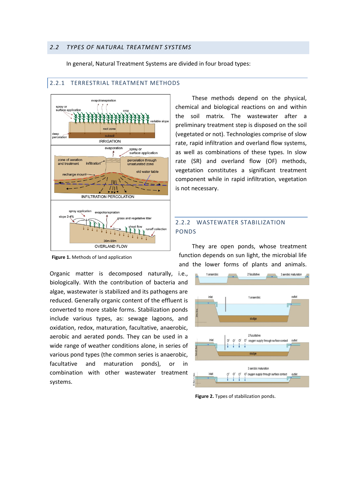In general, Natural Treatment Systems are divided in four broad types:



#### 2.2.1 TERRESTRIAL TREATMENT METHODS

Figure 1. Methods of land application

Organic matter is decomposed naturally, i.e., biologically. With the contribution of bacteria and algae, wastewater is stabilized and its pathogens are reduced. Generally organic content of the effluent is converted to more stable forms. Stabilization ponds include various types, as: sewage lagoons, and oxidation, redox, maturation, facultative, anaerobic, aerobic and aerated ponds. They can be used in a wide range of weather conditions alone, in series of various pond types (the common series is anaerobic, facultative and maturation ponds), or in combination with other wastewater treatment systems.

These methods depend on the physical, chemical and biological reactions on and within the soil matrix. The wastewater after a preliminary treatment step is disposed on the soil (vegetated or not). Technologies comprise of slow rate, rapid infiltration and overland flow systems, as well as combinations of these types. In slow rate (SR) and overland flow (OF) methods, vegetation constitutes a significant treatment component while in rapid infiltration, vegetation is not necessary.

# 2.2.2 WASTEWATER STABILIZATION PONDS

They are open ponds, whose treatment function depends on sun light, the microbial life and the lower forms of plants and animals.



Figure 2. Types of stabilization ponds.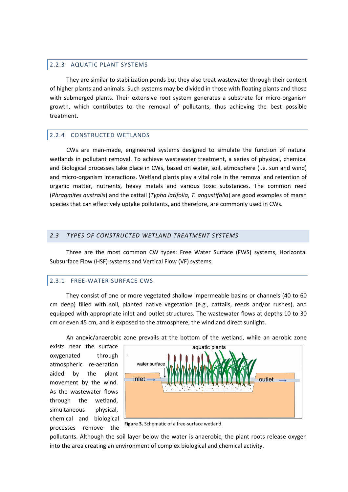#### 2.2.3 AQUATIC PLANT SYSTEMS

They are similar to stabilization ponds but they also treat wastewater through their content of higher plants and animals. Such systems may be divided in those with floating plants and those with submerged plants. Their extensive root system generates a substrate for micro-organism growth, which contributes to the removal of pollutants, thus achieving the best possible treatment.

#### 2.2.4 CONSTRUCTED WETLANDS

CWs are man-made, engineered systems designed to simulate the function of natural wetlands in pollutant removal. To achieve wastewater treatment, a series of physical, chemical and biological processes take place in CWs, based on water, soil, atmosphere (i.e. sun and wind) and micro-organism interactions. Wetland plants play a vital role in the removal and retention of organic matter, nutrients, heavy metals and various toxic substances. The common reed (Phragmites australis) and the cattail (Typha latifolia, T. angustifolia) are good examples of marsh species that can effectively uptake pollutants, and therefore, are commonly used in CWs.

#### 2.3 TYPES OF CONSTRUCTED WETLAND TREATMENT SYSTEMS

Three are the most common CW types: Free Water Surface (FWS) systems, Horizontal Subsurface Flow (HSF) systems and Vertical Flow (VF) systems.

#### 2.3.1 FREE-WATER SURFACE CWS

They consist of one or more vegetated shallow impermeable basins or channels (40 to 60 cm deep) filled with soil, planted native vegetation (e.g., cattails, reeds and/or rushes), and equipped with appropriate inlet and outlet structures. The wastewater flows at depths 10 to 30 cm or even 45 cm, and is exposed to the atmosphere, the wind and direct sunlight.

An anoxic/anaerobic zone prevails at the bottom of the wetland, while an aerobic zone

exists near the surface oxygenated through atmospheric re-aeration aided by the plant movement by the wind. As the wastewater flows through the wetland, simultaneous physical, chemical and biological processes remove the



Figure 3. Schematic of a free-surface wetland.

pollutants. Although the soil layer below the water is anaerobic, the plant roots release oxygen into the area creating an environment of complex biological and chemical activity.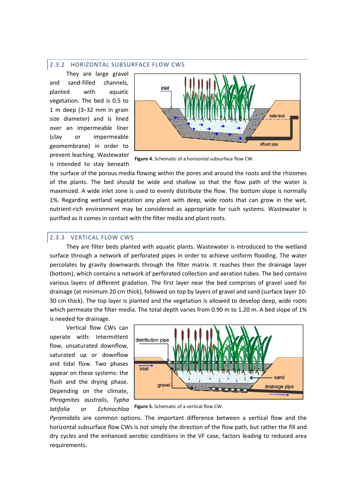#### 2.3.2 HORIZONTAL SUBSURFACE FLOW CWS

They are large gravel and sand-filled channels, planted with aquatic vegetation. The bed is 0.5 to 1 m deep (3–32 mm in grain size diameter) and is lined over an impermeable liner (clay or impermeable geomembrane) in order to prevent leaching. Wastewater is intended to stay beneath



Figure 4. Schematic of a horizontal subsurface flow CW.

the surface of the porous media flowing within the pores and around the roots and the rhizomes of the plants. The bed should be wide and shallow so that the flow path of the water is maximized. A wide inlet zone is used to evenly distribute the flow. The bottom slope is normally 1%. Regarding wetland vegetation any plant with deep, wide roots that can grow in the wet, nutrient-rich environment may be considered as appropriate for such systems. Wastewater is purified as it comes in contact with the filter media and plant roots.

#### 2.3.3 VERTICAL FLOW CWS

They are filter beds planted with aquatic plants. Wastewater is introduced to the wetland surface through a network of perforated pipes in order to achieve uniform flooding. The water percolates by gravity downwards through the filter matrix. It reaches then the drainage layer (bottom), which contains a network of perforated collection and aeration tubes. The bed contains various layers of different gradation. The first layer near the bed comprises of gravel used for drainage (at minimum 20 cm thick), followed on top by layers of gravel and sand (surface layer 10- 30 cm thick). The top layer is planted and the vegetation is allowed to develop deep, wide roots which permeate the filter media. The total depth varies from 0.90 m to 1.20 m. A bed slope of 1% is needed for drainage.

Vertical flow CWs can operate with: Intermittent flow, unsaturated downflow, saturated up or downflow and tidal flow. Two phases appear on these systems: the flush and the drying phase. Depending on the climate, Phragmites australis, Typha latifolia or Echinochloa



Figure 5. Schematic of a vertical flow CW.

Pyramidalis are common options. The important difference between a vertical flow and the horizontal subsurface flow CWs is not simply the direction of the flow path, but rather the fill and dry cycles and the enhanced aerobic conditions in the VF case, factors leading to reduced area requirements.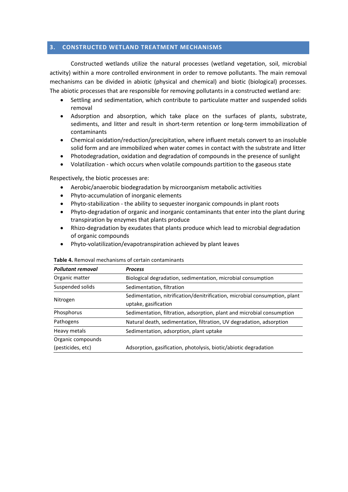# 3. CONSTRUCTED WETLAND TREATMENT MECHANISMS

Constructed wetlands utilize the natural processes (wetland vegetation, soil, microbial activity) within a more controlled environment in order to remove pollutants. The main removal mechanisms can be divided in abiotic (physical and chemical) and biotic (biological) processes. The abiotic processes that are responsible for removing pollutants in a constructed wetland are:

- Settling and sedimentation, which contribute to particulate matter and suspended solids removal
- Adsorption and absorption, which take place on the surfaces of plants, substrate, sediments, and litter and result in short-term retention or long-term immobilization of contaminants
- Chemical oxidation/reduction/precipitation, where influent metals convert to an insoluble solid form and are immobilized when water comes in contact with the substrate and litter
- Photodegradation, oxidation and degradation of compounds in the presence of sunlight
- Volatilization which occurs when volatile compounds partition to the gaseous state

Respectively, the biotic processes are:

- Aerobic/anaerobic biodegradation by microorganism metabolic activities
- Phyto-accumulation of inorganic elements
- Phyto-stabilization the ability to sequester inorganic compounds in plant roots
- Phyto-degradation of organic and inorganic contaminants that enter into the plant during transpiration by enzymes that plants produce
- Rhizo-degradation by exudates that plants produce which lead to microbial degradation of organic compounds
- Phyto-volatilization/evapotranspiration achieved by plant leaves

| <b>Pollutant removal</b> | <b>Process</b>                                                             |  |
|--------------------------|----------------------------------------------------------------------------|--|
| Organic matter           | Biological degradation, sedimentation, microbial consumption               |  |
| Suspended solids         | Sedimentation, filtration                                                  |  |
|                          | Sedimentation, nitrification/denitrification, microbial consumption, plant |  |
| Nitrogen                 | uptake, gasification                                                       |  |
| Phosphorus               | Sedimentation, filtration, adsorption, plant and microbial consumption     |  |
| Pathogens                | Natural death, sedimentation, filtration, UV degradation, adsorption       |  |
| Heavy metals             | Sedimentation, adsorption, plant uptake                                    |  |
| Organic compounds        |                                                                            |  |
| (pesticides, etc)        | Adsorption, gasification, photolysis, biotic/abiotic degradation           |  |

#### Table 4. Removal mechanisms of certain contaminants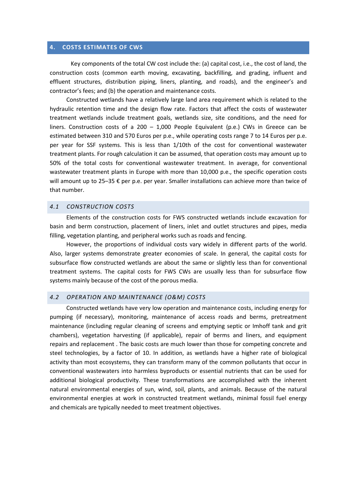#### 4. COSTS ESTIMATES OF CWS

Key components of the total CW cost include the: (a) capital cost, i.e., the cost of land, the construction costs (common earth moving, excavating, backfilling, and grading, influent and effluent structures, distribution piping, liners, planting, and roads), and the engineer's and contractor's fees; and (b) the operation and maintenance costs.

Constructed wetlands have a relatively large land area requirement which is related to the hydraulic retention time and the design flow rate. Factors that affect the costs of wastewater treatment wetlands include treatment goals, wetlands size, site conditions, and the need for liners. Construction costs of a 200 – 1,000 People Equivalent (p.e.) CWs in Greece can be estimated between 310 and 570 Euros per p.e., while operating costs range 7 to 14 Euros per p.e. per year for SSF systems. This is less than 1/10th of the cost for conventional wastewater treatment plants. For rough calculation it can be assumed, that operation costs may amount up to 50% of the total costs for conventional wastewater treatment. In average, for conventional wastewater treatment plants in Europe with more than 10,000 p.e., the specific operation costs will amount up to 25–35 € per p.e. per year. Smaller installations can achieve more than twice of that number.

#### 4.1 CONSTRUCTION COSTS

Elements of the construction costs for FWS constructed wetlands include excavation for basin and berm construction, placement of liners, inlet and outlet structures and pipes, media filling, vegetation planting, and peripheral works such as roads and fencing.

However, the proportions of individual costs vary widely in different parts of the world. Also, larger systems demonstrate greater economies of scale. In general, the capital costs for subsurface flow constructed wetlands are about the same or slightly less than for conventional treatment systems. The capital costs for FWS CWs are usually less than for subsurface flow systems mainly because of the cost of the porous media.

# 4.2 OPERATION AND MAINTENANCE (O&M) COSTS

Constructed wetlands have very low operation and maintenance costs, including energy for pumping (if necessary), monitoring, maintenance of access roads and berms, pretreatment maintenance (including regular cleaning of screens and emptying septic or Imhoff tank and grit chambers), vegetation harvesting (if applicable), repair of berms and liners, and equipment repairs and replacement . The basic costs are much lower than those for competing concrete and steel technologies, by a factor of 10. In addition, as wetlands have a higher rate of biological activity than most ecosystems, they can transform many of the common pollutants that occur in conventional wastewaters into harmless byproducts or essential nutrients that can be used for additional biological productivity. These transformations are accomplished with the inherent natural environmental energies of sun, wind, soil, plants, and animals. Because of the natural environmental energies at work in constructed treatment wetlands, minimal fossil fuel energy and chemicals are typically needed to meet treatment objectives.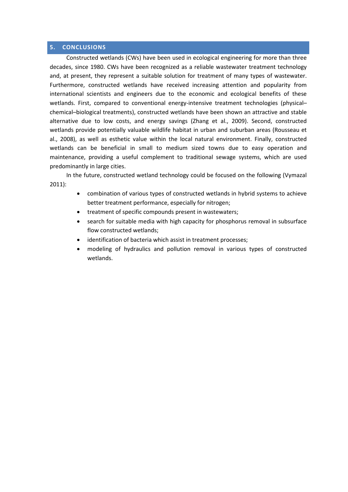#### 5. CONCLUSIONS

Constructed wetlands (CWs) have been used in ecological engineering for more than three decades, since 1980. CWs have been recognized as a reliable wastewater treatment technology and, at present, they represent a suitable solution for treatment of many types of wastewater. Furthermore, constructed wetlands have received increasing attention and popularity from international scientists and engineers due to the economic and ecological benefits of these wetlands. First, compared to conventional energy-intensive treatment technologies (physicalchemical–biological treatments), constructed wetlands have been shown an attractive and stable alternative due to low costs, and energy savings (Zhang et al., 2009). Second, constructed wetlands provide potentially valuable wildlife habitat in urban and suburban areas (Rousseau et al., 2008), as well as esthetic value within the local natural environment. Finally, constructed wetlands can be beneficial in small to medium sized towns due to easy operation and maintenance, providing a useful complement to traditional sewage systems, which are used predominantly in large cities.

In the future, constructed wetland technology could be focused on the following (Vymazal 2011):

- combination of various types of constructed wetlands in hybrid systems to achieve better treatment performance, especially for nitrogen;
- treatment of specific compounds present in wastewaters;
- search for suitable media with high capacity for phosphorus removal in subsurface flow constructed wetlands;
- identification of bacteria which assist in treatment processes;
- modeling of hydraulics and pollution removal in various types of constructed wetlands.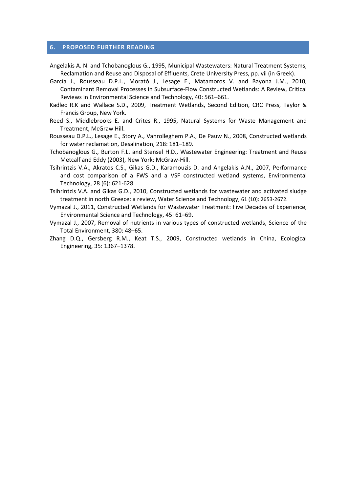#### 6. PROPOSED FURTHER READING

- Angelakis A. N. and Tchobanoglous G., 1995, Municipal Wastewaters: Natural Treatment Systems, Reclamation and Reuse and Disposal of Effluents, Crete University Press, pp. vii (in Greek).
- García J., Rousseau D.P.L., Morató J., Lesage E., Matamoros V. and Bayona J.M., 2010, Contaminant Removal Processes in Subsurface-Flow Constructed Wetlands: A Review, Critical Reviews in Environmental Science and Technology, 40: 561–661.
- Kadlec R.K and Wallace S.D., 2009, Treatment Wetlands, Second Edition, CRC Press, Taylor & Francis Group, New York.
- Reed S., Middlebrooks E. and Crites R., 1995, Natural Systems for Waste Management and Treatment, McGraw Hill.
- Rousseau D.P.L., Lesage E., Story A., Vanrolleghem P.A., De Pauw N., 2008, Constructed wetlands for water reclamation, Desalination, 218: 181–189.
- Tchobanoglous G., Burton F.L. and Stensel H.D., Wastewater Engineering: Treatment and Reuse Metcalf and Eddy (2003), New York: McGraw-Hill.
- Tsihrintzis V.A., Akratos C.S., Gikas G.D., Karamouzis D. and Angelakis A.N., 2007, Performance and cost comparison of a FWS and a VSF constructed wetland systems, Environmental Technology, 28 (6): 621-628.
- Tsihrintzis V.A. and Gikas G.D., 2010, Constructed wetlands for wastewater and activated sludge treatment in north Greece: a review, Water Science and Technology, 61 (10): 2653-2672.
- Vymazal J., 2011, Constructed Wetlands for Wastewater Treatment: Five Decades of Experience, Environmental Science and Technology, 45: 61–69.
- Vymazal J., 2007, Removal of nutrients in various types of constructed wetlands, Science of the Total Environment, 380: 48–65.
- Zhang D.Q., Gersberg R.M., Keat T.S., 2009, Constructed wetlands in China, Ecological Engineering, 35: 1367–1378.